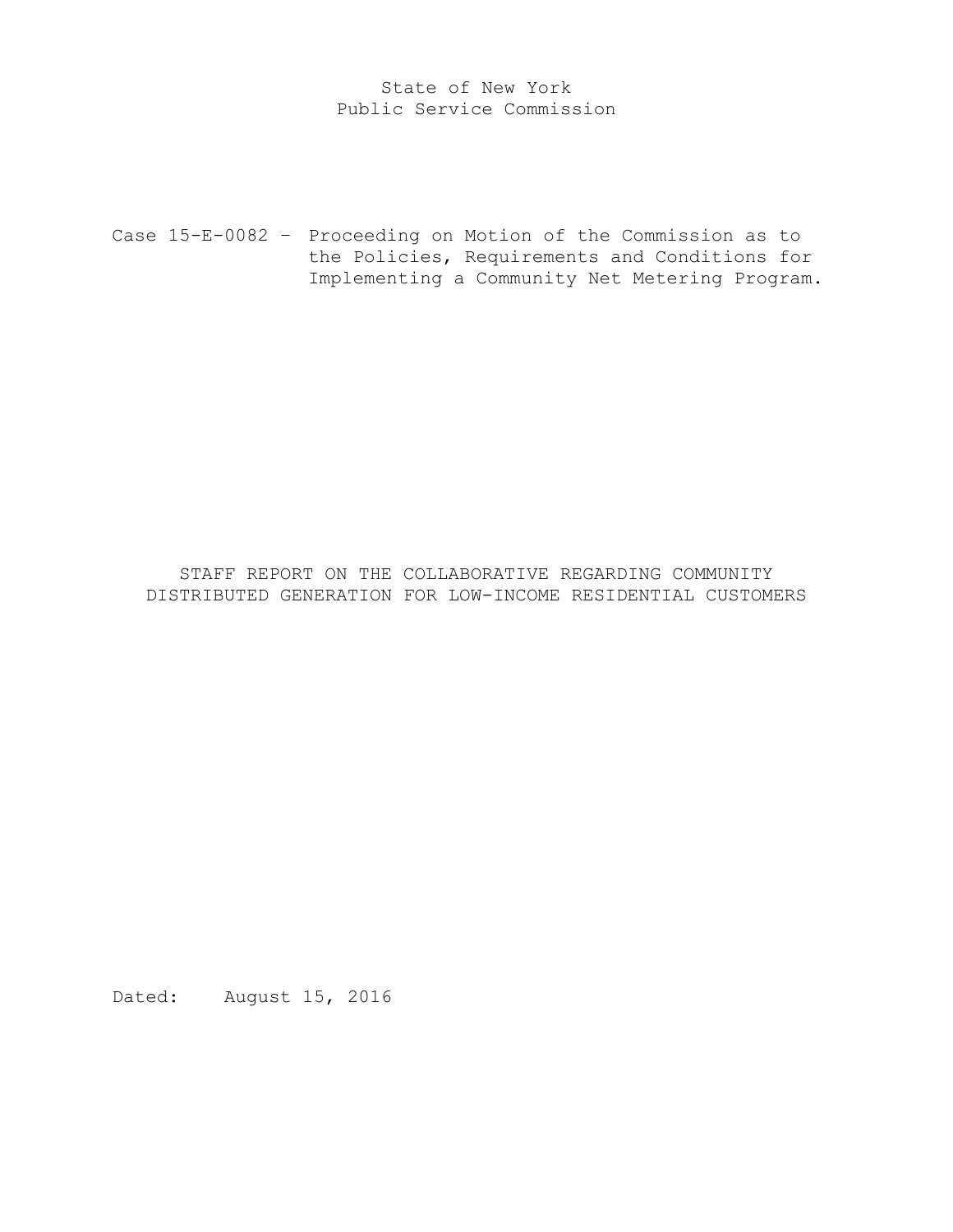# State of New York Public Service Commission

Case 15-E-0082 – Proceeding on Motion of the Commission as to the Policies, Requirements and Conditions for Implementing a Community Net Metering Program.

STAFF REPORT ON THE COLLABORATIVE REGARDING COMMUNITY DISTRIBUTED GENERATION FOR LOW-INCOME RESIDENTIAL CUSTOMERS

Dated: August 15, 2016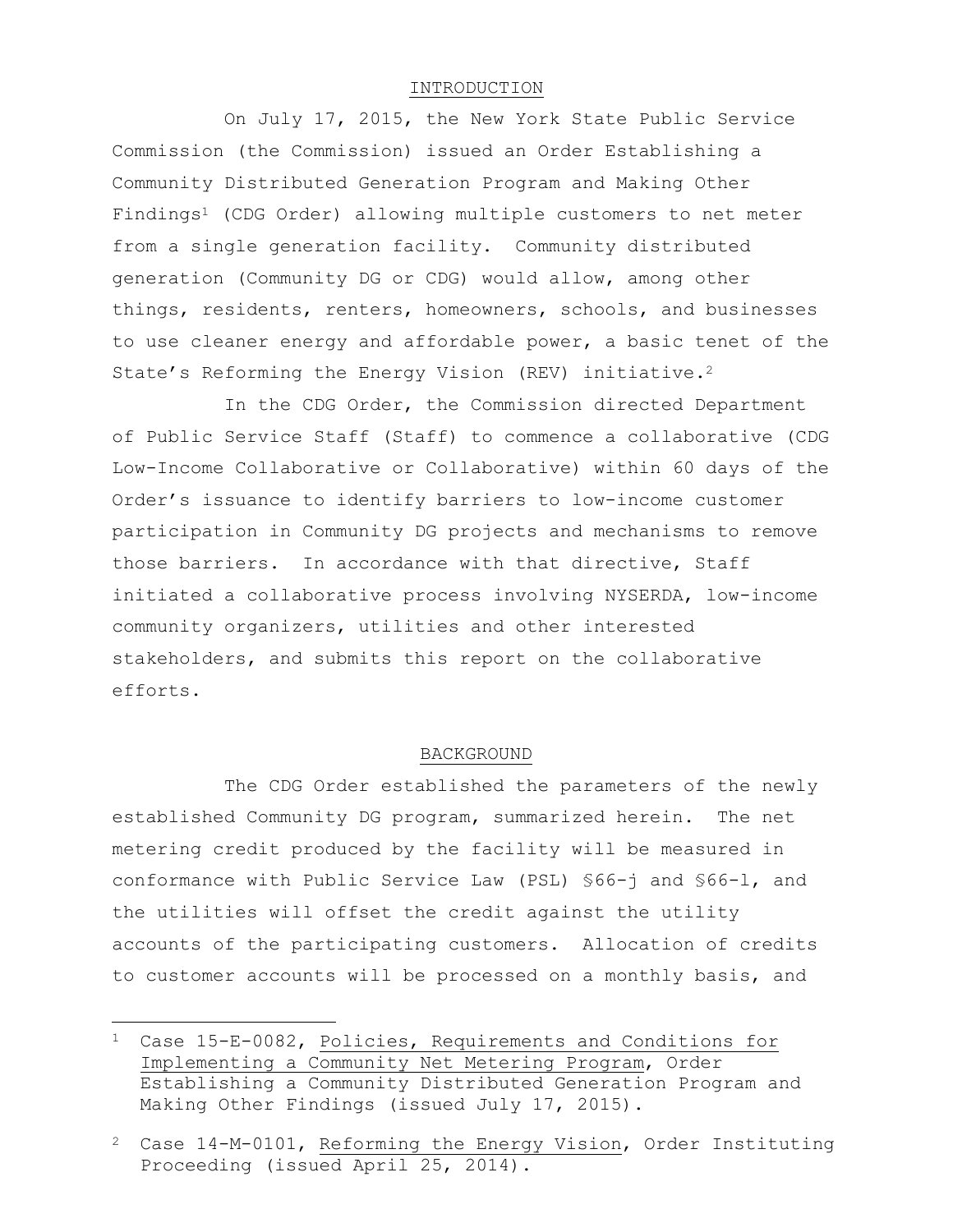## INTRODUCTION

On July 17, 2015, the New York State Public Service Commission (the Commission) issued an Order Establishing a Community Distributed Generation Program and Making Other Findings<sup>1</sup> (CDG Order) allowing multiple customers to net meter from a single generation facility. Community distributed generation (Community DG or CDG) would allow, among other things, residents, renters, homeowners, schools, and businesses to use cleaner energy and affordable power, a basic tenet of the State's Reforming the Energy Vision (REV) initiative.<sup>2</sup>

In the CDG Order, the Commission directed Department of Public Service Staff (Staff) to commence a collaborative (CDG Low-Income Collaborative or Collaborative) within 60 days of the Order's issuance to identify barriers to low-income customer participation in Community DG projects and mechanisms to remove those barriers. In accordance with that directive, Staff initiated a collaborative process involving NYSERDA, low-income community organizers, utilities and other interested stakeholders, and submits this report on the collaborative efforts.

#### BACKGROUND

The CDG Order established the parameters of the newly established Community DG program, summarized herein. The net metering credit produced by the facility will be measured in conformance with Public Service Law (PSL) §66-j and §66-l, and the utilities will offset the credit against the utility accounts of the participating customers. Allocation of credits to customer accounts will be processed on a monthly basis, and

 $\overline{\phantom{a}}$ 

<sup>1</sup> Case 15-E-0082, Policies, Requirements and Conditions for Implementing a Community Net Metering Program, Order Establishing a Community Distributed Generation Program and Making Other Findings (issued July 17, 2015).

<sup>2</sup> Case 14-M-0101, Reforming the Energy Vision, Order Instituting Proceeding (issued April 25, 2014).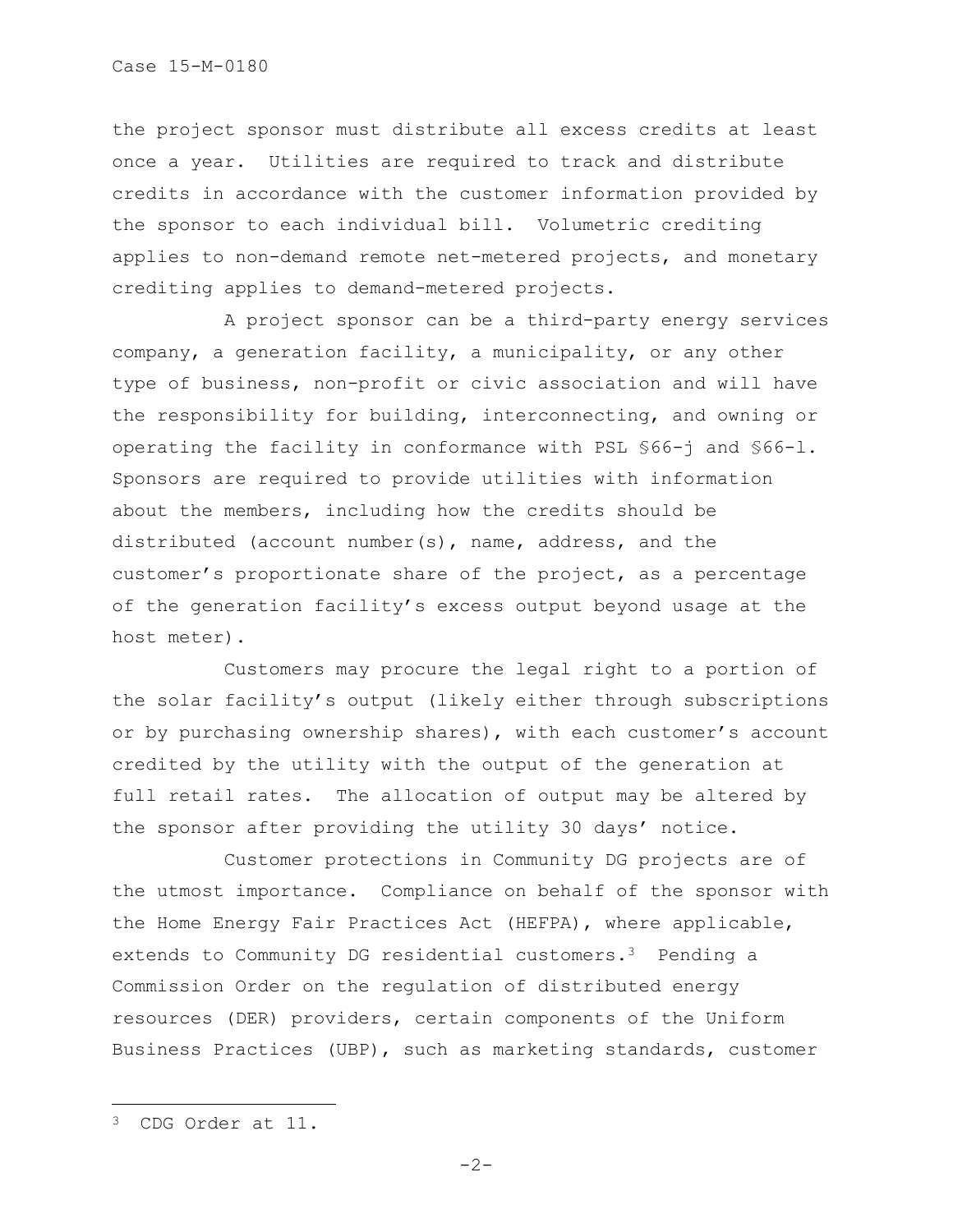the project sponsor must distribute all excess credits at least once a year. Utilities are required to track and distribute credits in accordance with the customer information provided by the sponsor to each individual bill. Volumetric crediting applies to non-demand remote net-metered projects, and monetary crediting applies to demand-metered projects.

A project sponsor can be a third-party energy services company, a generation facility, a municipality, or any other type of business, non-profit or civic association and will have the responsibility for building, interconnecting, and owning or operating the facility in conformance with PSL §66-j and §66-l. Sponsors are required to provide utilities with information about the members, including how the credits should be distributed (account number(s), name, address, and the customer's proportionate share of the project, as a percentage of the generation facility's excess output beyond usage at the host meter).

Customers may procure the legal right to a portion of the solar facility's output (likely either through subscriptions or by purchasing ownership shares), with each customer's account credited by the utility with the output of the generation at full retail rates. The allocation of output may be altered by the sponsor after providing the utility 30 days' notice.

Customer protections in Community DG projects are of the utmost importance. Compliance on behalf of the sponsor with the Home Energy Fair Practices Act (HEFPA), where applicable, extends to Community DG residential customers.<sup>3</sup> Pending a Commission Order on the regulation of distributed energy resources (DER) providers, certain components of the Uniform Business Practices (UBP), such as marketing standards, customer

 $\overline{a}$ 

<sup>3</sup> CDG Order at 11.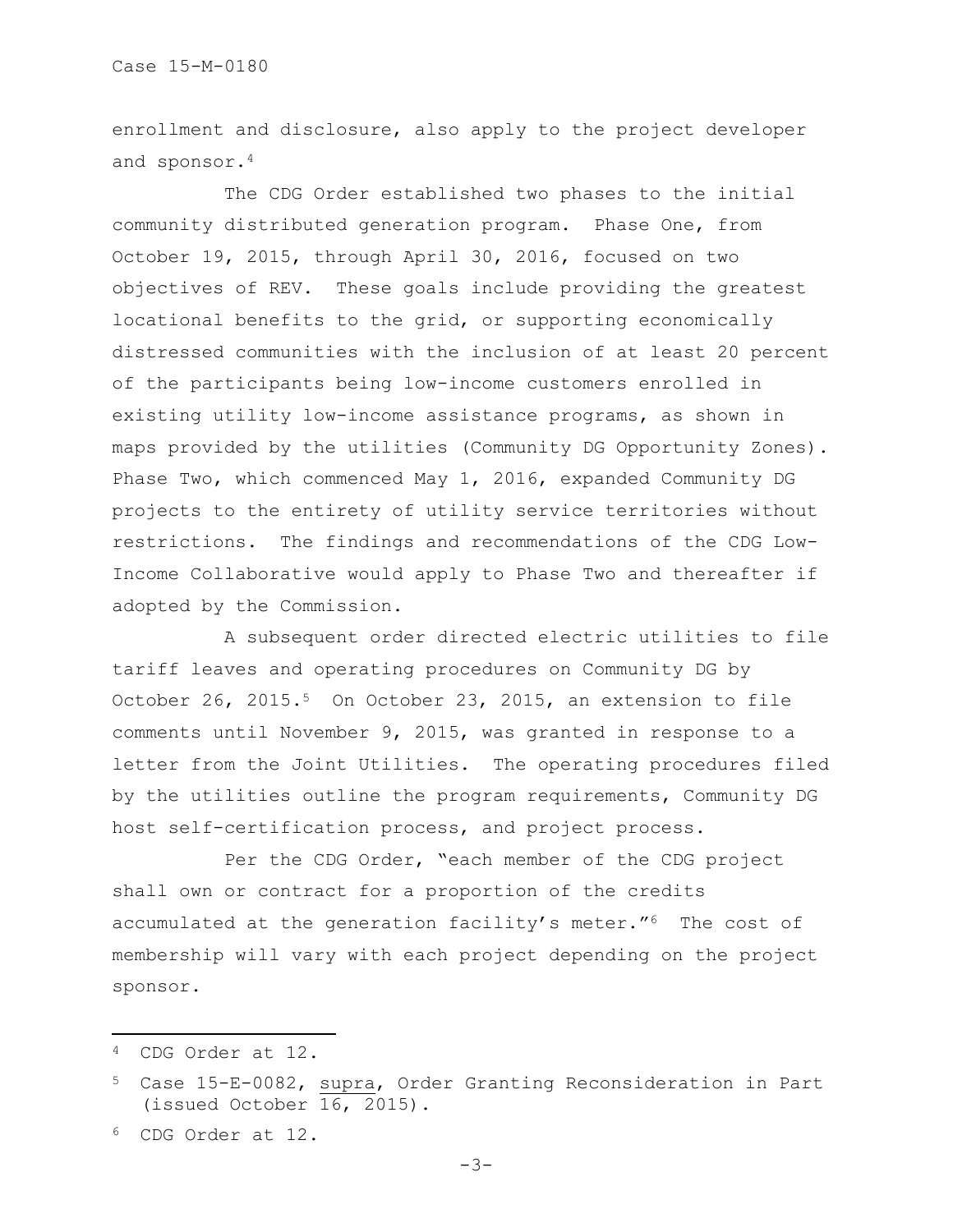enrollment and disclosure, also apply to the project developer and sponsor.<sup>4</sup>

The CDG Order established two phases to the initial community distributed generation program. Phase One, from October 19, 2015, through April 30, 2016, focused on two objectives of REV. These goals include providing the greatest locational benefits to the grid, or supporting economically distressed communities with the inclusion of at least 20 percent of the participants being low-income customers enrolled in existing utility low-income assistance programs, as shown in maps provided by the utilities (Community DG Opportunity Zones). Phase Two, which commenced May 1, 2016, expanded Community DG projects to the entirety of utility service territories without restrictions. The findings and recommendations of the CDG Low-Income Collaborative would apply to Phase Two and thereafter if adopted by the Commission.

A subsequent order directed electric utilities to file tariff leaves and operating procedures on Community DG by October 26, 2015.<sup>5</sup> On October 23, 2015, an extension to file comments until November 9, 2015, was granted in response to a letter from the Joint Utilities. The operating procedures filed by the utilities outline the program requirements, Community DG host self-certification process, and project process.

Per the CDG Order, "each member of the CDG project shall own or contract for a proportion of the credits accumulated at the generation facility's meter."6 The cost of membership will vary with each project depending on the project sponsor.

 $\overline{a}$ 

<sup>4</sup> CDG Order at 12.

<sup>5</sup> Case 15-E-0082, supra, Order Granting Reconsideration in Part (issued October 16, 2015).

<sup>6</sup> CDG Order at 12.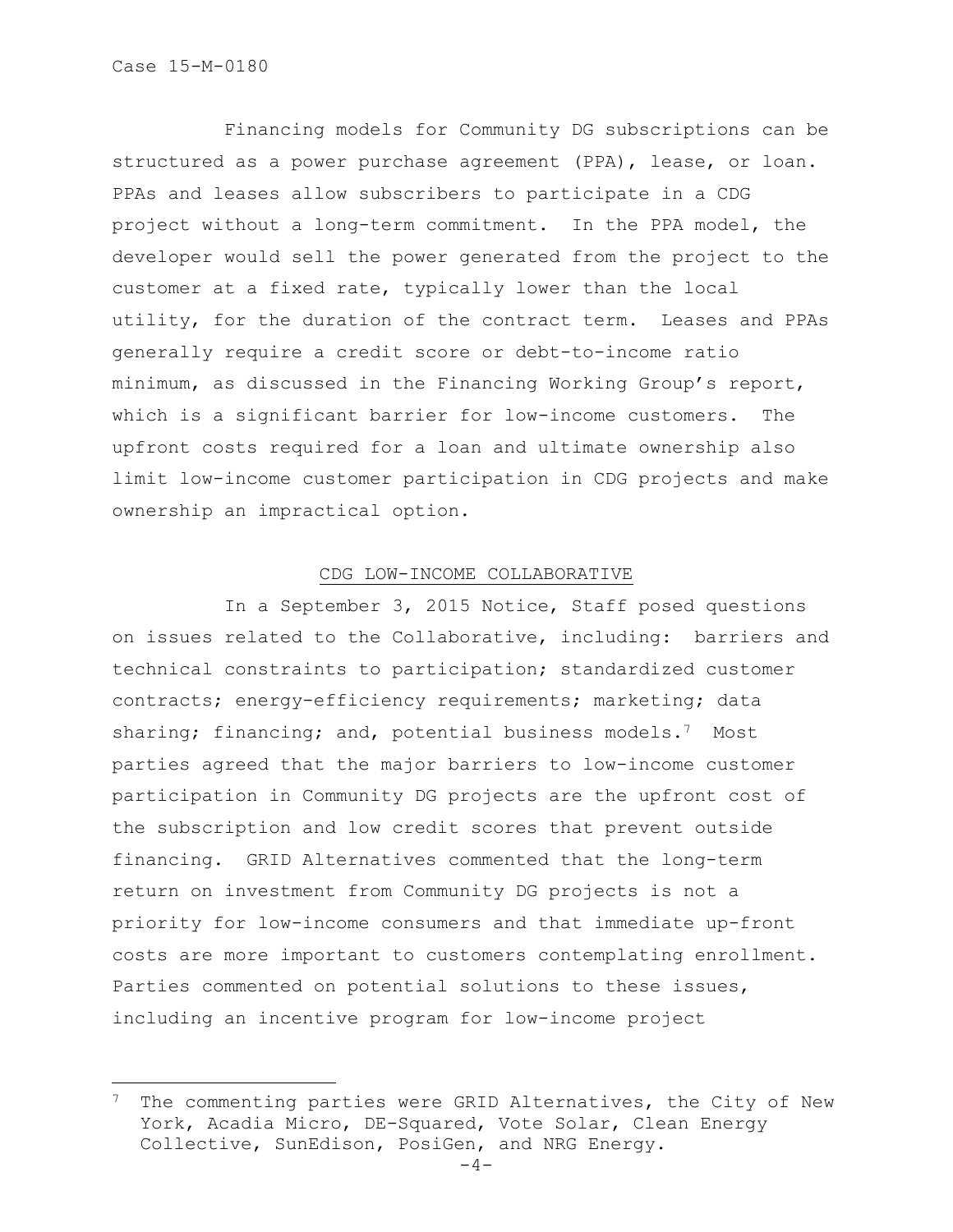l

Financing models for Community DG subscriptions can be structured as a power purchase agreement (PPA), lease, or loan. PPAs and leases allow subscribers to participate in a CDG project without a long-term commitment. In the PPA model, the developer would sell the power generated from the project to the customer at a fixed rate, typically lower than the local utility, for the duration of the contract term. Leases and PPAs generally require a credit score or debt-to-income ratio minimum, as discussed in the Financing Working Group's report, which is a significant barrier for low-income customers. The upfront costs required for a loan and ultimate ownership also limit low-income customer participation in CDG projects and make ownership an impractical option.

## CDG LOW-INCOME COLLABORATIVE

In a September 3, 2015 Notice, Staff posed questions on issues related to the Collaborative, including: barriers and technical constraints to participation; standardized customer contracts; energy-efficiency requirements; marketing; data sharing; financing; and, potential business models.<sup>7</sup> Most parties agreed that the major barriers to low-income customer participation in Community DG projects are the upfront cost of the subscription and low credit scores that prevent outside financing. GRID Alternatives commented that the long-term return on investment from Community DG projects is not a priority for low-income consumers and that immediate up-front costs are more important to customers contemplating enrollment. Parties commented on potential solutions to these issues, including an incentive program for low-income project

The commenting parties were GRID Alternatives, the City of New York, Acadia Micro, DE-Squared, Vote Solar, Clean Energy Collective, SunEdison, PosiGen, and NRG Energy.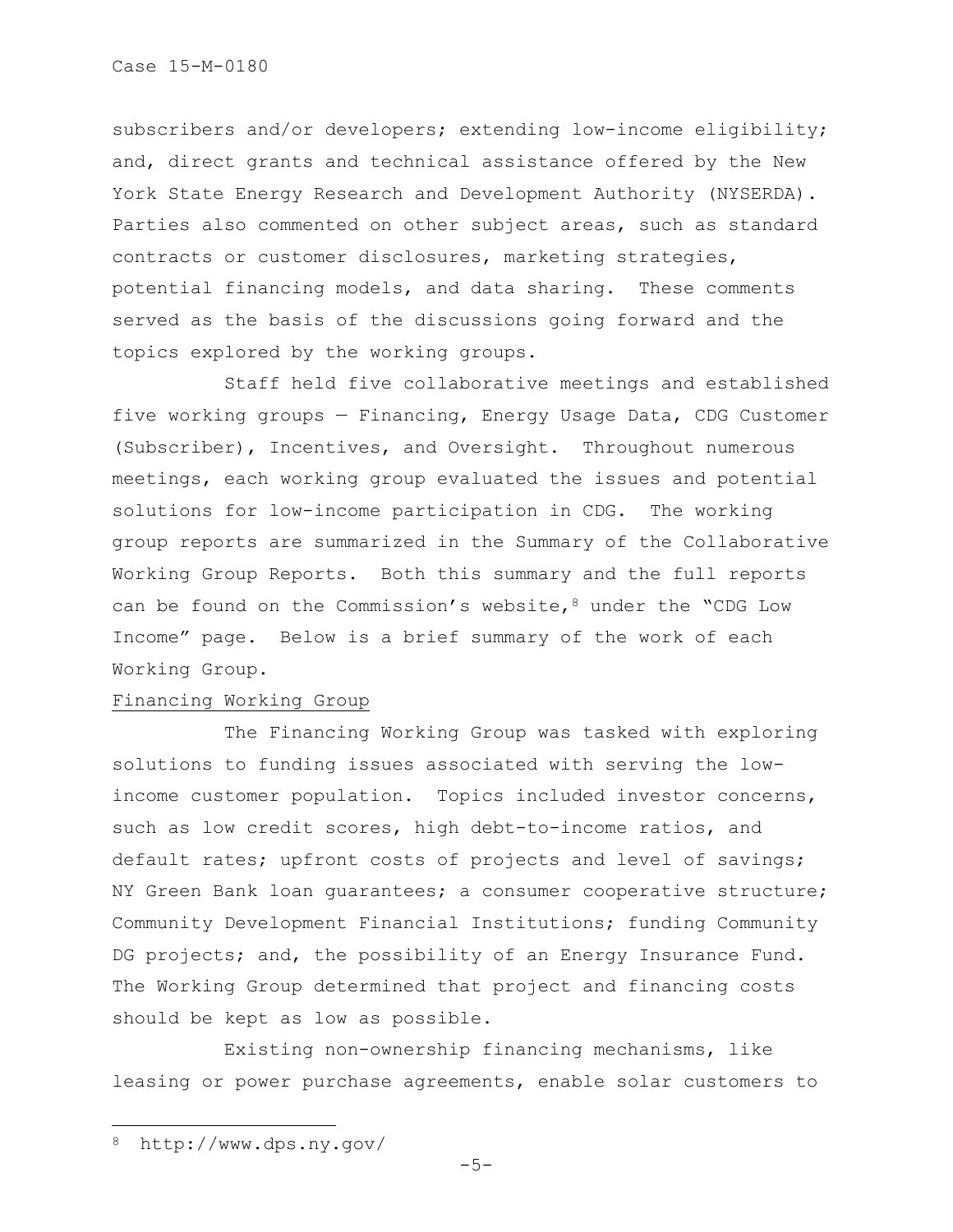subscribers and/or developers; extending low-income eligibility; and, direct grants and technical assistance offered by the New York State Energy Research and Development Authority (NYSERDA). Parties also commented on other subject areas, such as standard contracts or customer disclosures, marketing strategies, potential financing models, and data sharing. These comments served as the basis of the discussions going forward and the topics explored by the working groups.

Staff held five collaborative meetings and established five working groups — Financing, Energy Usage Data, CDG Customer (Subscriber), Incentives, and Oversight. Throughout numerous meetings, each working group evaluated the issues and potential solutions for low-income participation in CDG. The working group reports are summarized in the Summary of the Collaborative Working Group Reports. Both this summary and the full reports can be found on the Commission's website,  $8$  under the "CDG Low Income" page. Below is a brief summary of the work of each Working Group.

# Financing Working Group

The Financing Working Group was tasked with exploring solutions to funding issues associated with serving the lowincome customer population. Topics included investor concerns, such as low credit scores, high debt-to-income ratios, and default rates; upfront costs of projects and level of savings; NY Green Bank loan guarantees; a consumer cooperative structure; Community Development Financial Institutions; funding Community DG projects; and, the possibility of an Energy Insurance Fund. The Working Group determined that project and financing costs should be kept as low as possible.

Existing non-ownership financing mechanisms, like leasing or power purchase agreements, enable solar customers to

 $\overline{\phantom{a}}$ 

<sup>8</sup> http://www.dps.ny.gov/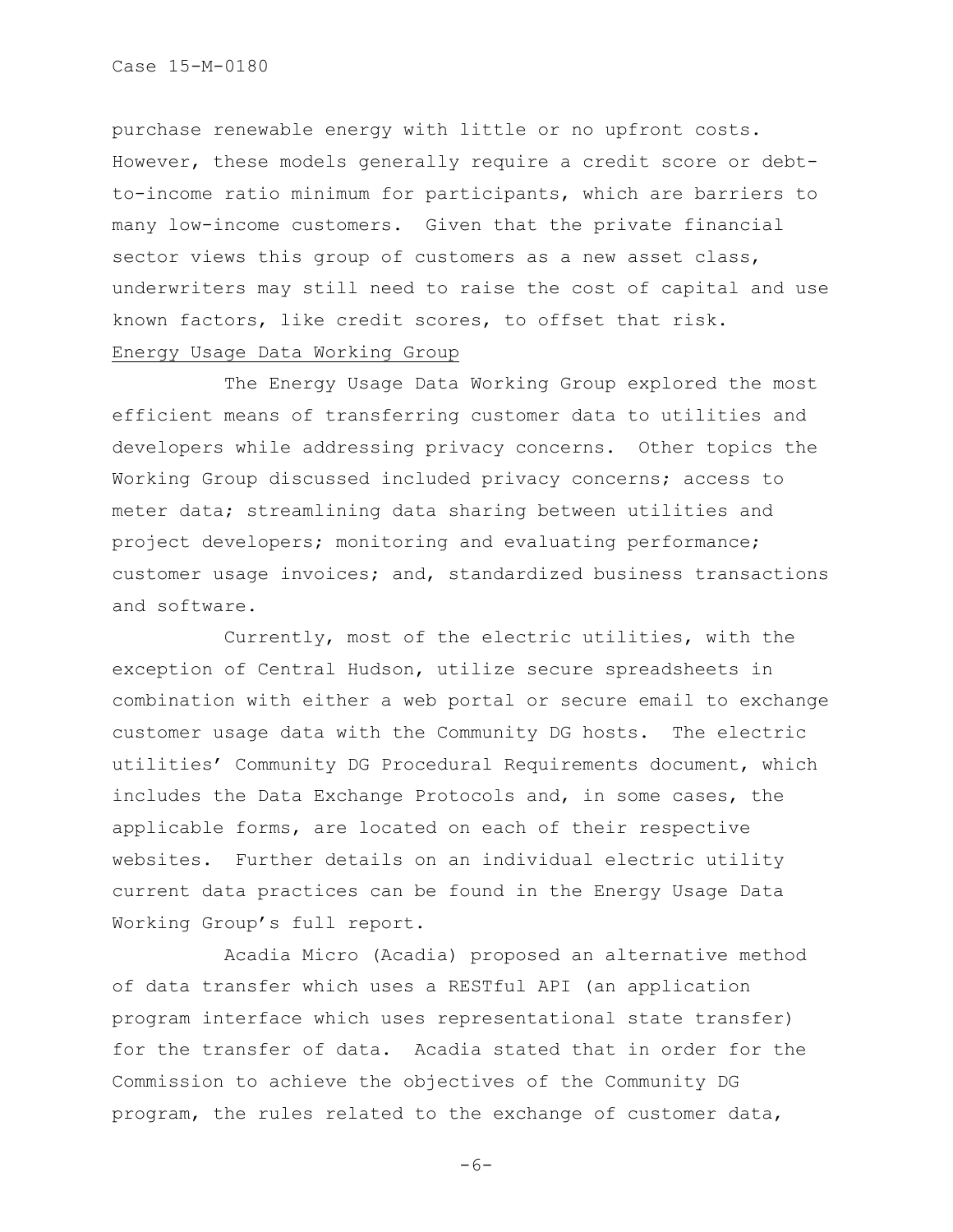Case 15-M-0180

purchase renewable energy with little or no upfront costs. However, these models generally require a credit score or debtto-income ratio minimum for participants, which are barriers to many low-income customers. Given that the private financial sector views this group of customers as a new asset class, underwriters may still need to raise the cost of capital and use known factors, like credit scores, to offset that risk. Energy Usage Data Working Group

The Energy Usage Data Working Group explored the most efficient means of transferring customer data to utilities and developers while addressing privacy concerns. Other topics the Working Group discussed included privacy concerns; access to meter data; streamlining data sharing between utilities and project developers; monitoring and evaluating performance; customer usage invoices; and, standardized business transactions and software.

Currently, most of the electric utilities, with the exception of Central Hudson, utilize secure spreadsheets in combination with either a web portal or secure email to exchange customer usage data with the Community DG hosts. The electric utilities' Community DG Procedural Requirements document, which includes the Data Exchange Protocols and, in some cases, the applicable forms, are located on each of their respective websites. Further details on an individual electric utility current data practices can be found in the Energy Usage Data Working Group's full report.

Acadia Micro (Acadia) proposed an alternative method of data transfer which uses a RESTful API (an application program interface which uses representational state transfer) for the transfer of data. Acadia stated that in order for the Commission to achieve the objectives of the Community DG program, the rules related to the exchange of customer data,

 $-6-$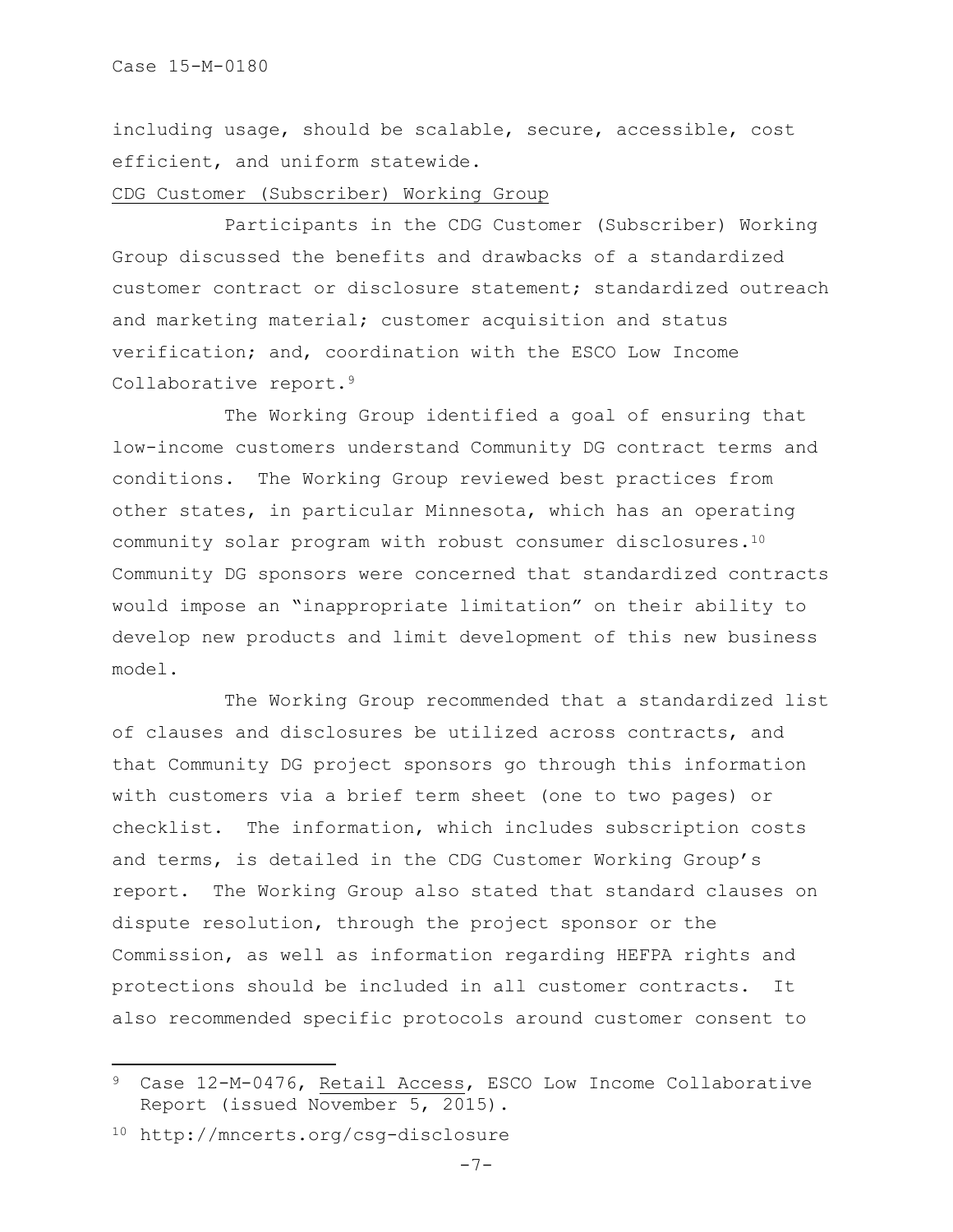including usage, should be scalable, secure, accessible, cost efficient, and uniform statewide.

#### CDG Customer (Subscriber) Working Group

Participants in the CDG Customer (Subscriber) Working Group discussed the benefits and drawbacks of a standardized customer contract or disclosure statement; standardized outreach and marketing material; customer acquisition and status verification; and, coordination with the ESCO Low Income Collaborative report.<sup>9</sup>

The Working Group identified a goal of ensuring that low-income customers understand Community DG contract terms and conditions. The Working Group reviewed best practices from other states, in particular Minnesota, which has an operating community solar program with robust consumer disclosures.<sup>10</sup> Community DG sponsors were concerned that standardized contracts would impose an "inappropriate limitation" on their ability to develop new products and limit development of this new business model.

The Working Group recommended that a standardized list of clauses and disclosures be utilized across contracts, and that Community DG project sponsors go through this information with customers via a brief term sheet (one to two pages) or checklist. The information, which includes subscription costs and terms, is detailed in the CDG Customer Working Group's report. The Working Group also stated that standard clauses on dispute resolution, through the project sponsor or the Commission, as well as information regarding HEFPA rights and protections should be included in all customer contracts. It also recommended specific protocols around customer consent to

l

Case 12-M-0476, Retail Access, ESCO Low Income Collaborative Report (issued November 5, 2015).

<sup>10</sup> http://mncerts.org/csg-disclosure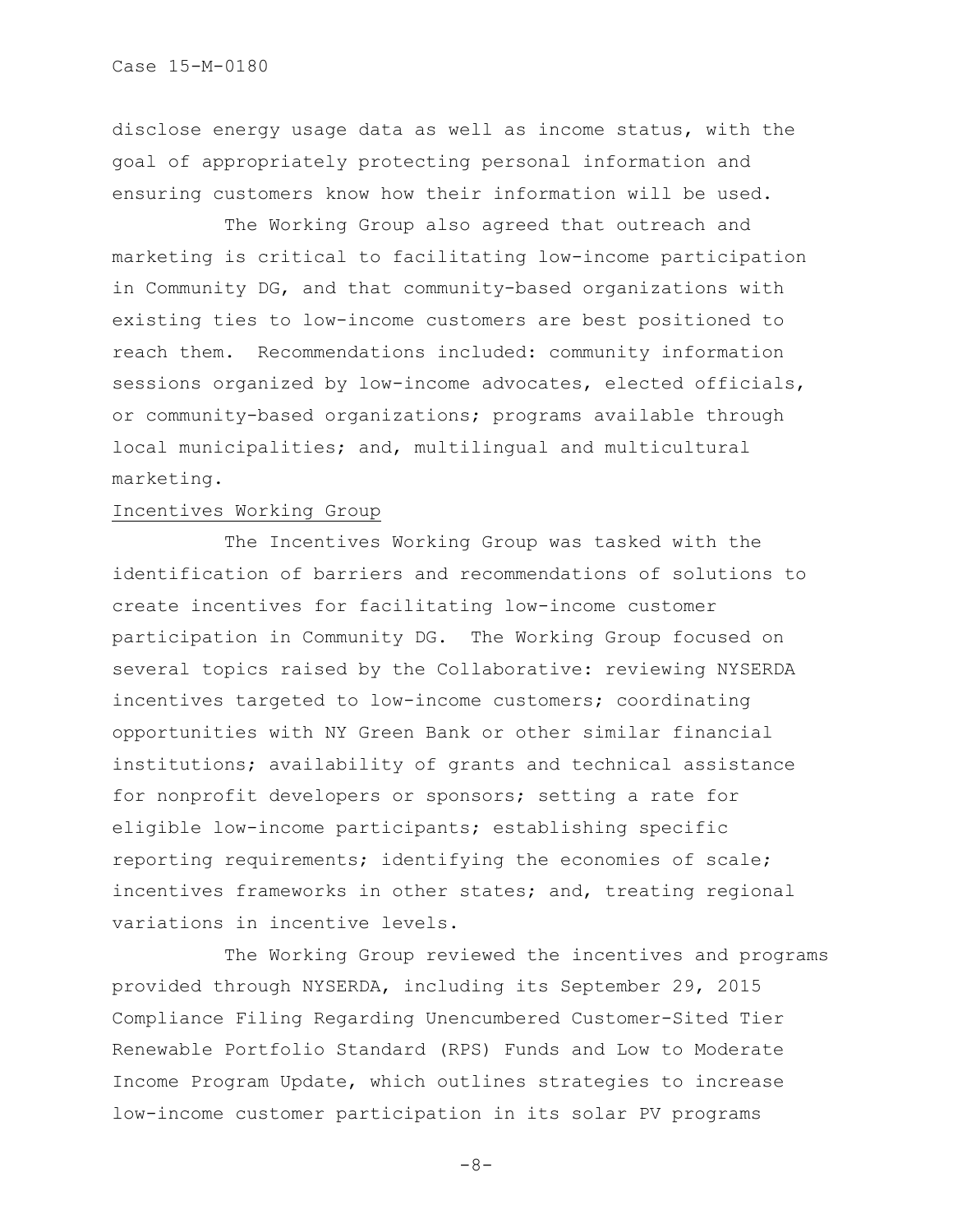disclose energy usage data as well as income status, with the goal of appropriately protecting personal information and ensuring customers know how their information will be used.

The Working Group also agreed that outreach and marketing is critical to facilitating low-income participation in Community DG, and that community-based organizations with existing ties to low-income customers are best positioned to reach them. Recommendations included: community information sessions organized by low-income advocates, elected officials, or community-based organizations; programs available through local municipalities; and, multilingual and multicultural marketing.

# Incentives Working Group

The Incentives Working Group was tasked with the identification of barriers and recommendations of solutions to create incentives for facilitating low-income customer participation in Community DG. The Working Group focused on several topics raised by the Collaborative: reviewing NYSERDA incentives targeted to low-income customers; coordinating opportunities with NY Green Bank or other similar financial institutions; availability of grants and technical assistance for nonprofit developers or sponsors; setting a rate for eligible low-income participants; establishing specific reporting requirements; identifying the economies of scale; incentives frameworks in other states; and, treating regional variations in incentive levels.

The Working Group reviewed the incentives and programs provided through NYSERDA, including its September 29, 2015 Compliance Filing Regarding Unencumbered Customer-Sited Tier Renewable Portfolio Standard (RPS) Funds and Low to Moderate Income Program Update, which outlines strategies to increase low-income customer participation in its solar PV programs

 $-8-$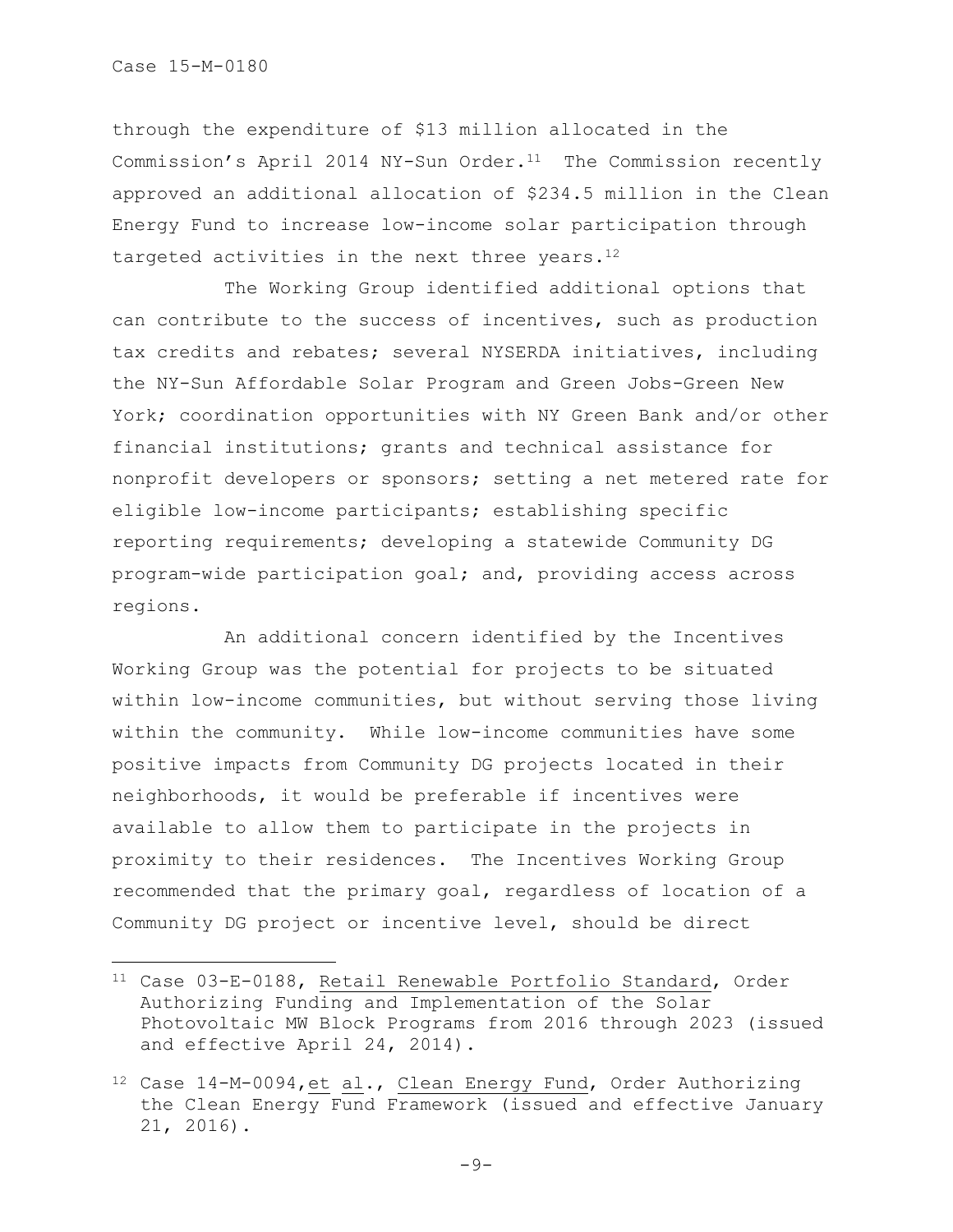$\overline{\phantom{a}}$ 

through the expenditure of \$13 million allocated in the Commission's April 2014 NY-Sun Order. $11$  The Commission recently approved an additional allocation of \$234.5 million in the Clean Energy Fund to increase low-income solar participation through targeted activities in the next three years.<sup>12</sup>

The Working Group identified additional options that can contribute to the success of incentives, such as production tax credits and rebates; several NYSERDA initiatives, including the NY-Sun Affordable Solar Program and Green Jobs-Green New York; coordination opportunities with NY Green Bank and/or other financial institutions; grants and technical assistance for nonprofit developers or sponsors; setting a net metered rate for eligible low-income participants; establishing specific reporting requirements; developing a statewide Community DG program-wide participation goal; and, providing access across regions.

An additional concern identified by the Incentives Working Group was the potential for projects to be situated within low-income communities, but without serving those living within the community. While low-income communities have some positive impacts from Community DG projects located in their neighborhoods, it would be preferable if incentives were available to allow them to participate in the projects in proximity to their residences. The Incentives Working Group recommended that the primary goal, regardless of location of a Community DG project or incentive level, should be direct

<sup>11</sup> Case 03-E-0188, Retail Renewable Portfolio Standard, Order Authorizing Funding and Implementation of the Solar Photovoltaic MW Block Programs from 2016 through 2023 (issued and effective April 24, 2014).

<sup>12</sup> Case 14-M-0094,et al., Clean Energy Fund, Order Authorizing the Clean Energy Fund Framework (issued and effective January 21, 2016).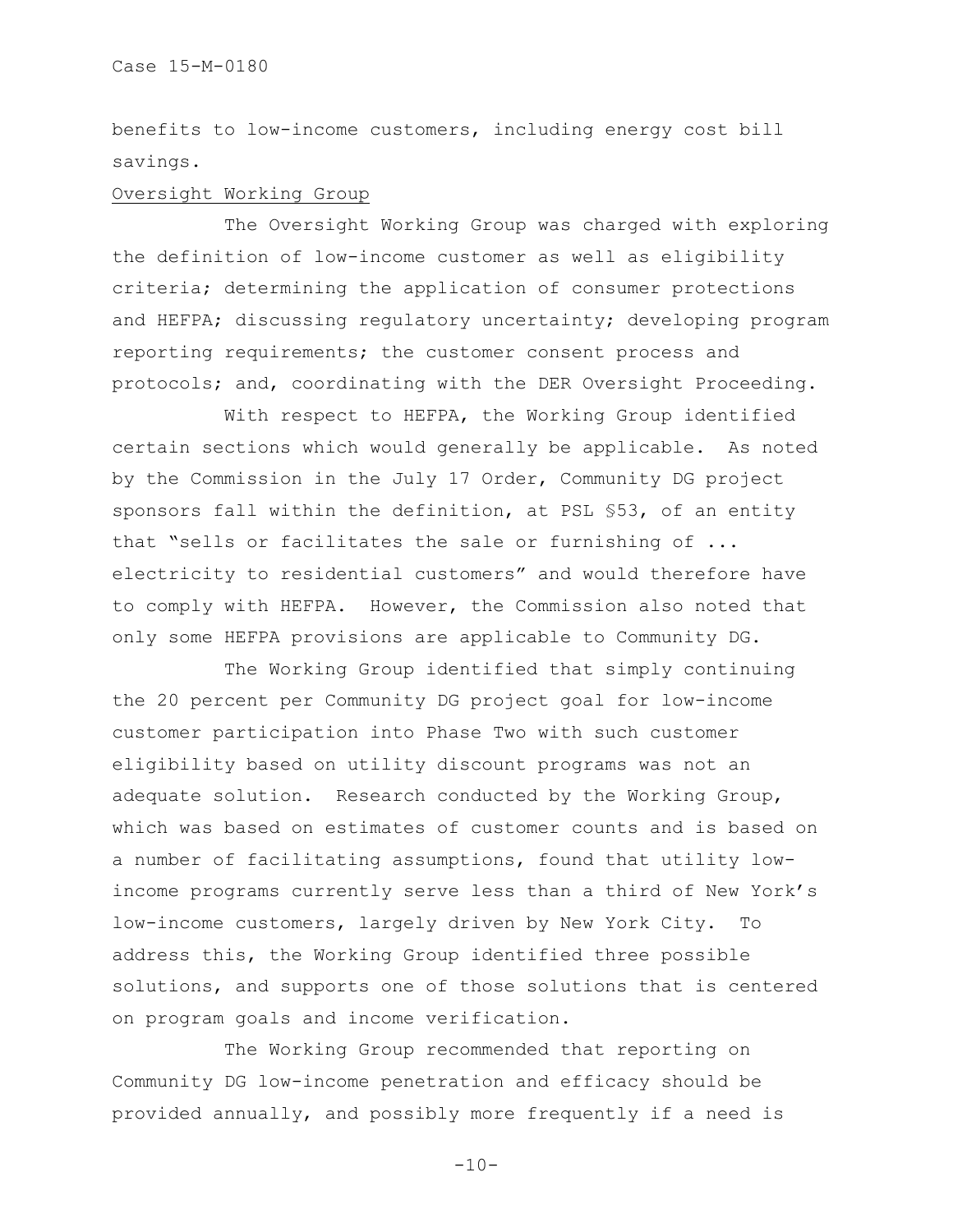benefits to low-income customers, including energy cost bill savings.

## Oversight Working Group

The Oversight Working Group was charged with exploring the definition of low-income customer as well as eligibility criteria; determining the application of consumer protections and HEFPA; discussing regulatory uncertainty; developing program reporting requirements; the customer consent process and protocols; and, coordinating with the DER Oversight Proceeding.

With respect to HEFPA, the Working Group identified certain sections which would generally be applicable. As noted by the Commission in the July 17 Order, Community DG project sponsors fall within the definition, at PSL §53, of an entity that "sells or facilitates the sale or furnishing of ... electricity to residential customers" and would therefore have to comply with HEFPA. However, the Commission also noted that only some HEFPA provisions are applicable to Community DG.

The Working Group identified that simply continuing the 20 percent per Community DG project goal for low-income customer participation into Phase Two with such customer eligibility based on utility discount programs was not an adequate solution. Research conducted by the Working Group, which was based on estimates of customer counts and is based on a number of facilitating assumptions, found that utility lowincome programs currently serve less than a third of New York's low-income customers, largely driven by New York City. To address this, the Working Group identified three possible solutions, and supports one of those solutions that is centered on program goals and income verification.

The Working Group recommended that reporting on Community DG low-income penetration and efficacy should be provided annually, and possibly more frequently if a need is

 $-10-$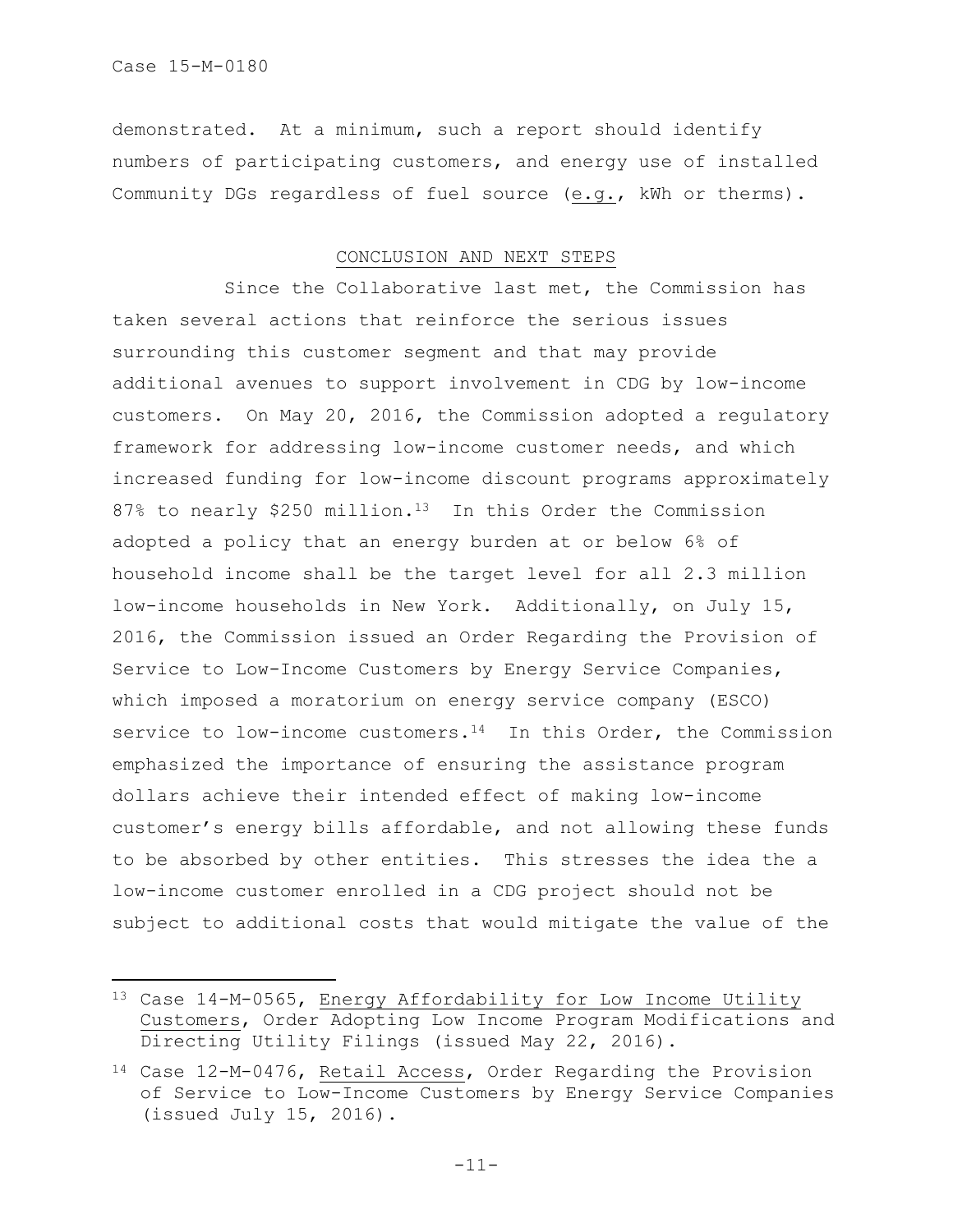$\overline{\phantom{a}}$ 

demonstrated. At a minimum, such a report should identify numbers of participating customers, and energy use of installed Community DGs regardless of fuel source (e.g., kWh or therms).

## CONCLUSION AND NEXT STEPS

Since the Collaborative last met, the Commission has taken several actions that reinforce the serious issues surrounding this customer segment and that may provide additional avenues to support involvement in CDG by low-income customers. On May 20, 2016, the Commission adopted a regulatory framework for addressing low-income customer needs, and which increased funding for low-income discount programs approximately 87% to nearly \$250 million.<sup>13</sup> In this Order the Commission adopted a policy that an energy burden at or below 6% of household income shall be the target level for all 2.3 million low-income households in New York. Additionally, on July 15, 2016, the Commission issued an Order Regarding the Provision of Service to Low-Income Customers by Energy Service Companies, which imposed a moratorium on energy service company (ESCO) service to low-income customers.<sup>14</sup> In this Order, the Commission emphasized the importance of ensuring the assistance program dollars achieve their intended effect of making low-income customer's energy bills affordable, and not allowing these funds to be absorbed by other entities. This stresses the idea the a low-income customer enrolled in a CDG project should not be subject to additional costs that would mitigate the value of the

<sup>13</sup> Case 14-M-0565, Energy Affordability for Low Income Utility Customers, Order Adopting Low Income Program Modifications and Directing Utility Filings (issued May 22, 2016).

<sup>14</sup> Case 12-M-0476, Retail Access, Order Regarding the Provision of Service to Low-Income Customers by Energy Service Companies (issued July 15, 2016).